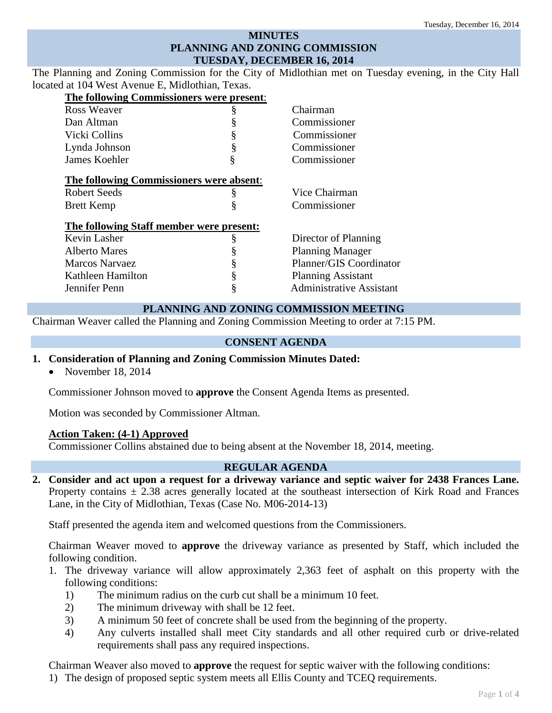# **MINUTES PLANNING AND ZONING COMMISSION TUESDAY, DECEMBER 16, 2014**

The Planning and Zoning Commission for the City of Midlothian met on Tuesday evening, in the City Hall located at 104 West Avenue E, Midlothian, Texas.

| The following Commissioners were present: |   |                                 |
|-------------------------------------------|---|---------------------------------|
| Ross Weaver                               | § | Chairman                        |
| Dan Altman                                | § | Commissioner                    |
| Vicki Collins                             | § | Commissioner                    |
| Lynda Johnson                             | § | Commissioner                    |
| James Koehler                             | § | Commissioner                    |
| The following Commissioners were absent:  |   |                                 |
| <b>Robert Seeds</b>                       | § | Vice Chairman                   |
| <b>Brett Kemp</b>                         | ş | Commissioner                    |
| The following Staff member were present:  |   |                                 |
| Kevin Lasher                              | § | Director of Planning            |
| Alberto Mares                             | § | <b>Planning Manager</b>         |
| <b>Marcos Narvaez</b>                     | § | Planner/GIS Coordinator         |
| Kathleen Hamilton                         | § | <b>Planning Assistant</b>       |
| Jennifer Penn                             | § | <b>Administrative Assistant</b> |
|                                           |   |                                 |

## **PLANNING AND ZONING COMMISSION MEETING**

Chairman Weaver called the Planning and Zoning Commission Meeting to order at 7:15 PM.

### **CONSENT AGENDA**

#### **1. Consideration of Planning and Zoning Commission Minutes Dated:**

• November 18, 2014

Commissioner Johnson moved to **approve** the Consent Agenda Items as presented.

Motion was seconded by Commissioner Altman.

#### **Action Taken: (4-1) Approved**

Commissioner Collins abstained due to being absent at the November 18, 2014, meeting.

#### **REGULAR AGENDA**

**2. Consider and act upon a request for a driveway variance and septic waiver for 2438 Frances Lane.**  Property contains  $\pm$  2.38 acres generally located at the southeast intersection of Kirk Road and Frances Lane, in the City of Midlothian, Texas (Case No. M06-2014-13)

Staff presented the agenda item and welcomed questions from the Commissioners.

Chairman Weaver moved to **approve** the driveway variance as presented by Staff, which included the following condition.

- 1. The driveway variance will allow approximately 2,363 feet of asphalt on this property with the following conditions:
	- 1) The minimum radius on the curb cut shall be a minimum 10 feet.
	- 2) The minimum driveway with shall be 12 feet.
	- 3) A minimum 50 feet of concrete shall be used from the beginning of the property.
	- 4) Any culverts installed shall meet City standards and all other required curb or drive-related requirements shall pass any required inspections.

Chairman Weaver also moved to **approve** the request for septic waiver with the following conditions:

1) The design of proposed septic system meets all Ellis County and TCEQ requirements.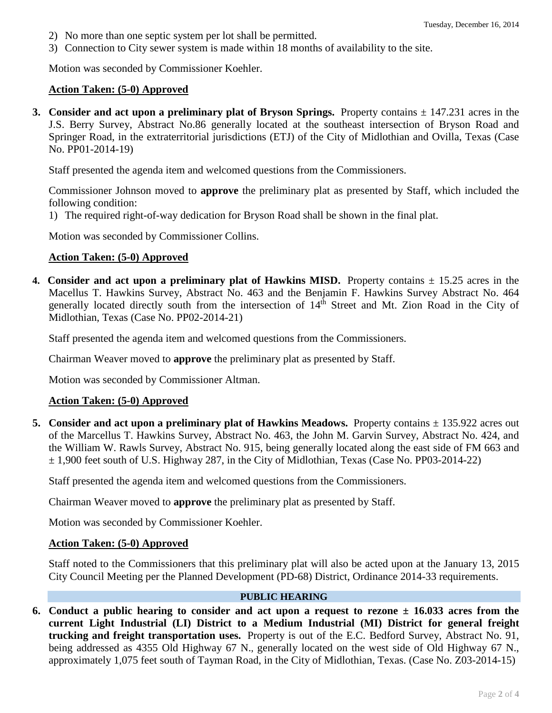- 2) No more than one septic system per lot shall be permitted.
- 3) Connection to City sewer system is made within 18 months of availability to the site.

Motion was seconded by Commissioner Koehler.

### **Action Taken: (5-0) Approved**

**3. Consider and act upon a preliminary plat of Bryson Springs.** Property contains  $\pm$  147.231 acres in the J.S. Berry Survey, Abstract No.86 generally located at the southeast intersection of Bryson Road and Springer Road, in the extraterritorial jurisdictions (ETJ) of the City of Midlothian and Ovilla, Texas (Case No. PP01-2014-19)

Staff presented the agenda item and welcomed questions from the Commissioners.

Commissioner Johnson moved to **approve** the preliminary plat as presented by Staff, which included the following condition:

1) The required right-of-way dedication for Bryson Road shall be shown in the final plat.

Motion was seconded by Commissioner Collins.

### **Action Taken: (5-0) Approved**

**4. Consider and act upon a preliminary plat of Hawkins MISD.** Property contains  $\pm$  15.25 acres in the Macellus T. Hawkins Survey, Abstract No. 463 and the Benjamin F. Hawkins Survey Abstract No. 464 generally located directly south from the intersection of 14<sup>th</sup> Street and Mt. Zion Road in the City of Midlothian, Texas (Case No. PP02-2014-21)

Staff presented the agenda item and welcomed questions from the Commissioners.

Chairman Weaver moved to **approve** the preliminary plat as presented by Staff.

Motion was seconded by Commissioner Altman.

#### **Action Taken: (5-0) Approved**

**5.** Consider and act upon a preliminary plat of Hawkins Meadows. Property contains  $\pm$  135.922 acres out of the Marcellus T. Hawkins Survey, Abstract No. 463, the John M. Garvin Survey, Abstract No. 424, and the William W. Rawls Survey, Abstract No. 915, being generally located along the east side of FM 663 and ± 1,900 feet south of U.S. Highway 287, in the City of Midlothian, Texas (Case No. PP03-2014-22)

Staff presented the agenda item and welcomed questions from the Commissioners.

Chairman Weaver moved to **approve** the preliminary plat as presented by Staff.

Motion was seconded by Commissioner Koehler.

#### **Action Taken: (5-0) Approved**

Staff noted to the Commissioners that this preliminary plat will also be acted upon at the January 13, 2015 City Council Meeting per the Planned Development (PD-68) District, Ordinance 2014-33 requirements.

## **PUBLIC HEARING**

**6.** Conduct a public hearing to consider and act upon a request to rezone  $\pm$  16.033 acres from the **current Light Industrial (LI) District to a Medium Industrial (MI) District for general freight trucking and freight transportation uses.** Property is out of the E.C. Bedford Survey, Abstract No. 91, being addressed as 4355 Old Highway 67 N., generally located on the west side of Old Highway 67 N., approximately 1,075 feet south of Tayman Road, in the City of Midlothian, Texas. (Case No. Z03-2014-15)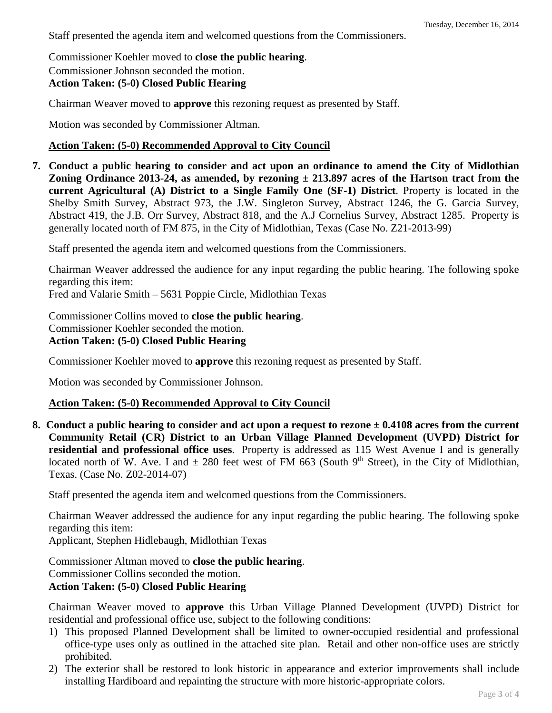Staff presented the agenda item and welcomed questions from the Commissioners.

Commissioner Koehler moved to **close the public hearing**.

Commissioner Johnson seconded the motion.

# **Action Taken: (5-0) Closed Public Hearing**

Chairman Weaver moved to **approve** this rezoning request as presented by Staff.

Motion was seconded by Commissioner Altman.

## **Action Taken: (5-0) Recommended Approval to City Council**

**7. Conduct a public hearing to consider and act upon an ordinance to amend the City of Midlothian Zoning Ordinance 2013-24, as amended, by rezoning ± 213.897 acres of the Hartson tract from the current Agricultural (A) District to a Single Family One (SF-1) District**. Property is located in the Shelby Smith Survey, Abstract 973, the J.W. Singleton Survey, Abstract 1246, the G. Garcia Survey, Abstract 419, the J.B. Orr Survey, Abstract 818, and the A.J Cornelius Survey, Abstract 1285. Property is generally located north of FM 875, in the City of Midlothian, Texas (Case No. Z21-2013-99)

Staff presented the agenda item and welcomed questions from the Commissioners.

Chairman Weaver addressed the audience for any input regarding the public hearing. The following spoke regarding this item:

Fred and Valarie Smith – 5631 Poppie Circle, Midlothian Texas

Commissioner Collins moved to **close the public hearing**. Commissioner Koehler seconded the motion. **Action Taken: (5-0) Closed Public Hearing**

Commissioner Koehler moved to **approve** this rezoning request as presented by Staff.

Motion was seconded by Commissioner Johnson.

## **Action Taken: (5-0) Recommended Approval to City Council**

**8. Conduct a public hearing to consider and act upon a request to rezone ± 0.4108 acres from the current Community Retail (CR) District to an Urban Village Planned Development (UVPD) District for residential and professional office uses**. Property is addressed as 115 West Avenue I and is generally located north of W. Ave. I and  $\pm$  280 feet west of FM 663 (South 9<sup>th</sup> Street), in the City of Midlothian, Texas. (Case No. Z02-2014-07)

Staff presented the agenda item and welcomed questions from the Commissioners.

Chairman Weaver addressed the audience for any input regarding the public hearing. The following spoke regarding this item:

Applicant, Stephen Hidlebaugh, Midlothian Texas

Commissioner Altman moved to **close the public hearing**. Commissioner Collins seconded the motion. **Action Taken: (5-0) Closed Public Hearing**

Chairman Weaver moved to **approve** this Urban Village Planned Development (UVPD) District for residential and professional office use, subject to the following conditions:

- 1) This proposed Planned Development shall be limited to owner-occupied residential and professional office-type uses only as outlined in the attached site plan. Retail and other non-office uses are strictly prohibited.
- 2) The exterior shall be restored to look historic in appearance and exterior improvements shall include installing Hardiboard and repainting the structure with more historic-appropriate colors.